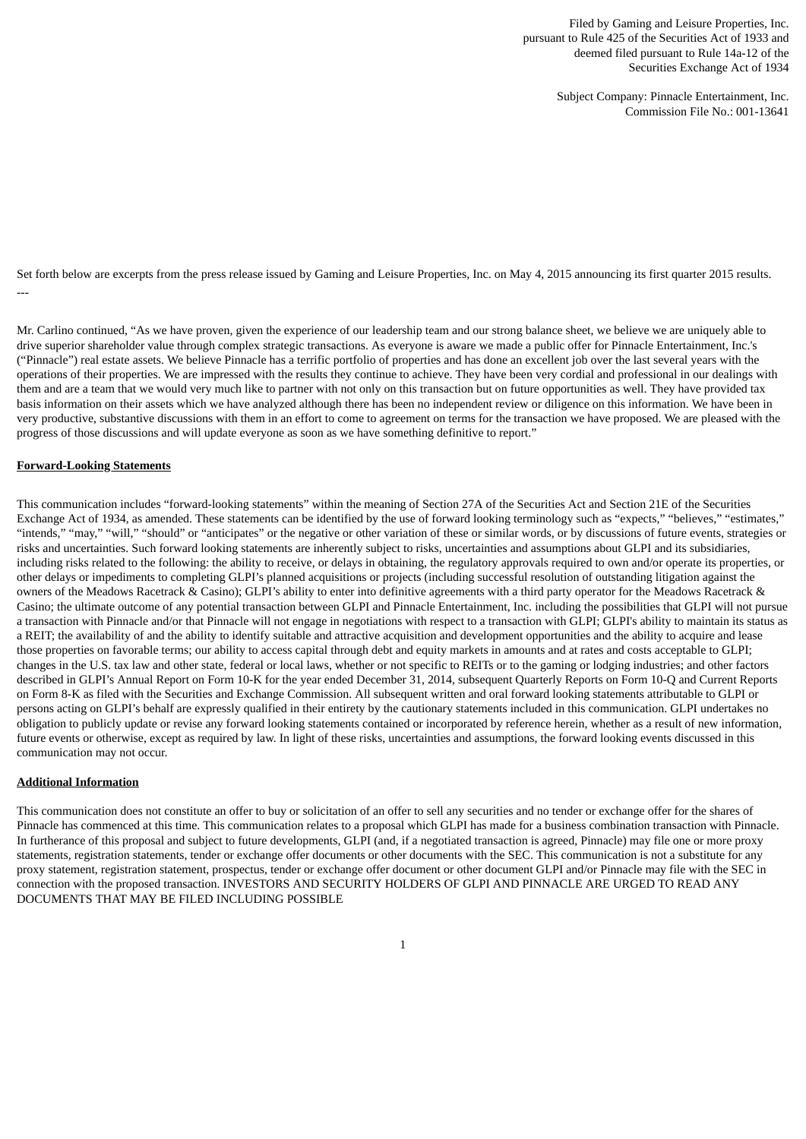Filed by Gaming and Leisure Properties, Inc. pursuant to Rule 425 of the Securities Act of 1933 and deemed filed pursuant to Rule 14a-12 of the Securities Exchange Act of 1934

> Subject Company: Pinnacle Entertainment, Inc. Commission File No.: 001-13641

Set forth below are excerpts from the press release issued by Gaming and Leisure Properties, Inc. on May 4, 2015 announcing its first quarter 2015 results. ---

Mr. Carlino continued, "As we have proven, given the experience of our leadership team and our strong balance sheet, we believe we are uniquely able to drive superior shareholder value through complex strategic transactions. As everyone is aware we made a public offer for Pinnacle Entertainment, Inc.'s ("Pinnacle") real estate assets. We believe Pinnacle has a terrific portfolio of properties and has done an excellent job over the last several years with the operations of their properties. We are impressed with the results they continue to achieve. They have been very cordial and professional in our dealings with them and are a team that we would very much like to partner with not only on this transaction but on future opportunities as well. They have provided tax basis information on their assets which we have analyzed although there has been no independent review or diligence on this information. We have been in very productive, substantive discussions with them in an effort to come to agreement on terms for the transaction we have proposed. We are pleased with the progress of those discussions and will update everyone as soon as we have something definitive to report."

## **Forward-Looking Statements**

This communication includes "forward-looking statements" within the meaning of Section 27A of the Securities Act and Section 21E of the Securities Exchange Act of 1934, as amended. These statements can be identified by the use of forward looking terminology such as "expects," "believes," "estimates," "intends," "may," "will," "should" or "anticipates" or the negative or other variation of these or similar words, or by discussions of future events, strategies or risks and uncertainties. Such forward looking statements are inherently subject to risks, uncertainties and assumptions about GLPI and its subsidiaries, including risks related to the following: the ability to receive, or delays in obtaining, the regulatory approvals required to own and/or operate its properties, or other delays or impediments to completing GLPI's planned acquisitions or projects (including successful resolution of outstanding litigation against the owners of the Meadows Racetrack & Casino); GLPI's ability to enter into definitive agreements with a third party operator for the Meadows Racetrack & Casino; the ultimate outcome of any potential transaction between GLPI and Pinnacle Entertainment, Inc. including the possibilities that GLPI will not pursue a transaction with Pinnacle and/or that Pinnacle will not engage in negotiations with respect to a transaction with GLPI; GLPI's ability to maintain its status as a REIT; the availability of and the ability to identify suitable and attractive acquisition and development opportunities and the ability to acquire and lease those properties on favorable terms; our ability to access capital through debt and equity markets in amounts and at rates and costs acceptable to GLPI; changes in the U.S. tax law and other state, federal or local laws, whether or not specific to REITs or to the gaming or lodging industries; and other factors described in GLPI's Annual Report on Form 10-K for the year ended December 31, 2014, subsequent Quarterly Reports on Form 10-Q and Current Reports on Form 8-K as filed with the Securities and Exchange Commission. All subsequent written and oral forward looking statements attributable to GLPI or persons acting on GLPI's behalf are expressly qualified in their entirety by the cautionary statements included in this communication. GLPI undertakes no obligation to publicly update or revise any forward looking statements contained or incorporated by reference herein, whether as a result of new information, future events or otherwise, except as required by law. In light of these risks, uncertainties and assumptions, the forward looking events discussed in this communication may not occur.

## **Additional Information**

This communication does not constitute an offer to buy or solicitation of an offer to sell any securities and no tender or exchange offer for the shares of Pinnacle has commenced at this time. This communication relates to a proposal which GLPI has made for a business combination transaction with Pinnacle. In furtherance of this proposal and subject to future developments, GLPI (and, if a negotiated transaction is agreed, Pinnacle) may file one or more proxy statements, registration statements, tender or exchange offer documents or other documents with the SEC. This communication is not a substitute for any proxy statement, registration statement, prospectus, tender or exchange offer document or other document GLPI and/or Pinnacle may file with the SEC in connection with the proposed transaction. INVESTORS AND SECURITY HOLDERS OF GLPI AND PINNACLE ARE URGED TO READ ANY DOCUMENTS THAT MAY BE FILED INCLUDING POSSIBLE